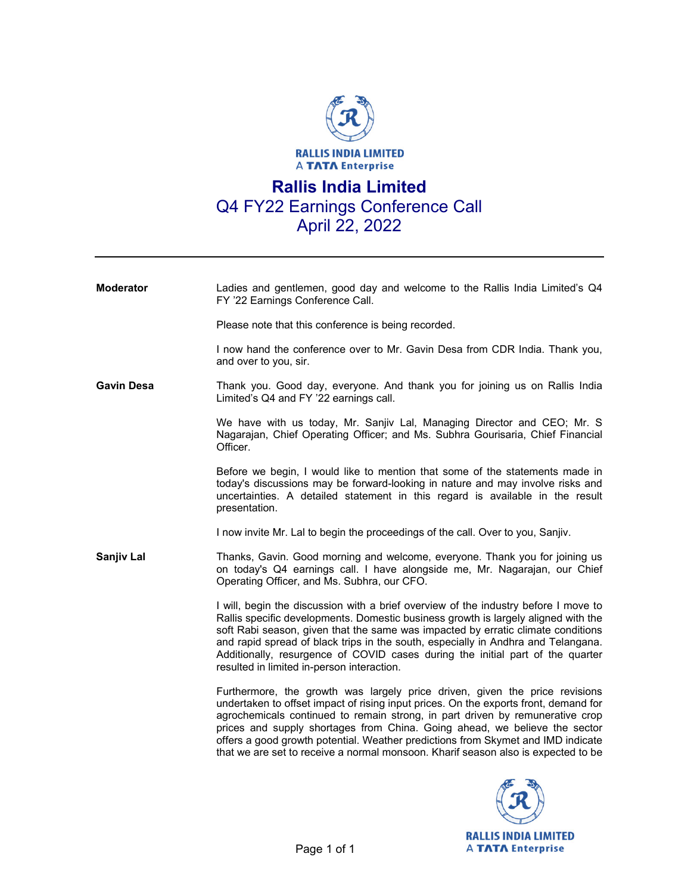

**Moderator** Ladies and gentlemen, good day and welcome to the Rallis India Limited's Q4 FY '22 Earnings Conference Call. Please note that this conference is being recorded.

I now hand the conference over to Mr. Gavin Desa from CDR India. Thank you,

**Gavin Desa** Thank you. Good day, everyone. And thank you for joining us on Rallis India Limited's Q4 and FY '22 earnings call.

and over to you, sir.

 We have with us today, Mr. Sanjiv Lal, Managing Director and CEO; Mr. S Nagarajan, Chief Operating Officer; and Ms. Subhra Gourisaria, Chief Financial Officer.

 Before we begin, I would like to mention that some of the statements made in today's discussions may be forward-looking in nature and may involve risks and uncertainties. A detailed statement in this regard is available in the result presentation.

I now invite Mr. Lal to begin the proceedings of the call. Over to you, Sanjiv.

**Sanjiv Lal** Thanks, Gavin. Good morning and welcome, everyone. Thank you for joining us on today's Q4 earnings call. I have alongside me, Mr. Nagarajan, our Chief Operating Officer, and Ms. Subhra, our CFO.

> I will, begin the discussion with a brief overview of the industry before I move to Rallis specific developments. Domestic business growth is largely aligned with the soft Rabi season, given that the same was impacted by erratic climate conditions and rapid spread of black trips in the south, especially in Andhra and Telangana. Additionally, resurgence of COVID cases during the initial part of the quarter resulted in limited in-person interaction.

> Furthermore, the growth was largely price driven, given the price revisions undertaken to offset impact of rising input prices. On the exports front, demand for agrochemicals continued to remain strong, in part driven by remunerative crop prices and supply shortages from China. Going ahead, we believe the sector offers a good growth potential. Weather predictions from Skymet and IMD indicate that we are set to receive a normal monsoon. Kharif season also is expected to be

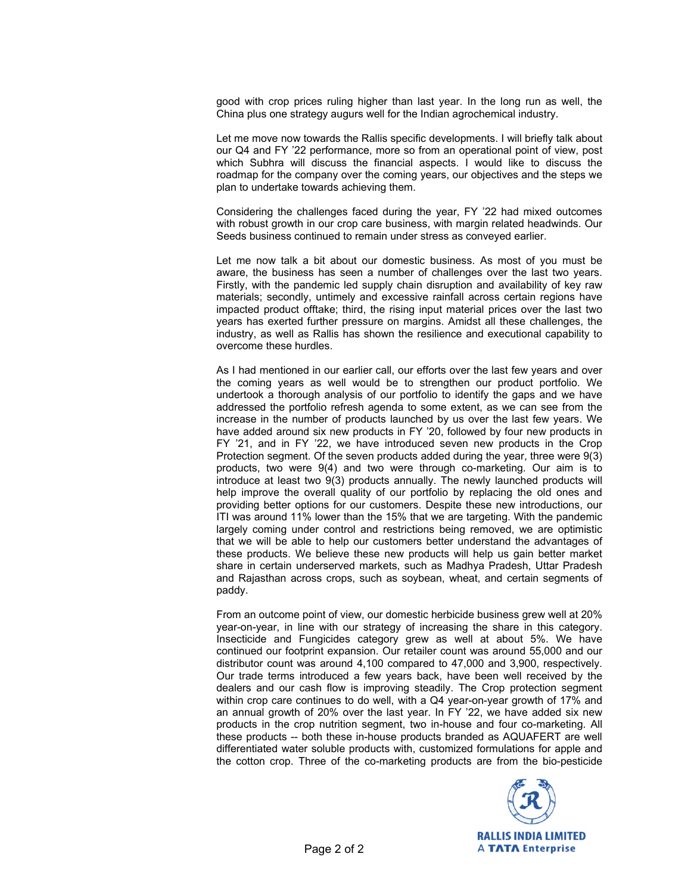good with crop prices ruling higher than last year. In the long run as well, the China plus one strategy augurs well for the Indian agrochemical industry.

 Let me move now towards the Rallis specific developments. I will briefly talk about our Q4 and FY '22 performance, more so from an operational point of view, post which Subhra will discuss the financial aspects. I would like to discuss the roadmap for the company over the coming years, our objectives and the steps we plan to undertake towards achieving them.

 Considering the challenges faced during the year, FY '22 had mixed outcomes with robust growth in our crop care business, with margin related headwinds. Our Seeds business continued to remain under stress as conveyed earlier.

 Let me now talk a bit about our domestic business. As most of you must be aware, the business has seen a number of challenges over the last two years. Firstly, with the pandemic led supply chain disruption and availability of key raw materials; secondly, untimely and excessive rainfall across certain regions have impacted product offtake; third, the rising input material prices over the last two years has exerted further pressure on margins. Amidst all these challenges, the industry, as well as Rallis has shown the resilience and executional capability to overcome these hurdles.

 As I had mentioned in our earlier call, our efforts over the last few years and over the coming years as well would be to strengthen our product portfolio. We undertook a thorough analysis of our portfolio to identify the gaps and we have addressed the portfolio refresh agenda to some extent, as we can see from the increase in the number of products launched by us over the last few years. We have added around six new products in FY '20, followed by four new products in FY '21, and in FY '22, we have introduced seven new products in the Crop Protection segment. Of the seven products added during the year, three were 9(3) products, two were 9(4) and two were through co-marketing. Our aim is to introduce at least two 9(3) products annually. The newly launched products will help improve the overall quality of our portfolio by replacing the old ones and providing better options for our customers. Despite these new introductions, our ITI was around 11% lower than the 15% that we are targeting. With the pandemic largely coming under control and restrictions being removed, we are optimistic that we will be able to help our customers better understand the advantages of these products. We believe these new products will help us gain better market share in certain underserved markets, such as Madhya Pradesh, Uttar Pradesh and Rajasthan across crops, such as soybean, wheat, and certain segments of paddy.

 From an outcome point of view, our domestic herbicide business grew well at 20% year-on-year, in line with our strategy of increasing the share in this category. Insecticide and Fungicides category grew as well at about 5%. We have continued our footprint expansion. Our retailer count was around 55,000 and our distributor count was around 4,100 compared to 47,000 and 3,900, respectively. Our trade terms introduced a few years back, have been well received by the dealers and our cash flow is improving steadily. The Crop protection segment within crop care continues to do well, with a Q4 year-on-year growth of 17% and an annual growth of 20% over the last year. In FY '22, we have added six new products in the crop nutrition segment, two in-house and four co-marketing. All these products -- both these in-house products branded as AQUAFERT are well differentiated water soluble products with, customized formulations for apple and the cotton crop. Three of the co-marketing products are from the bio-pesticide

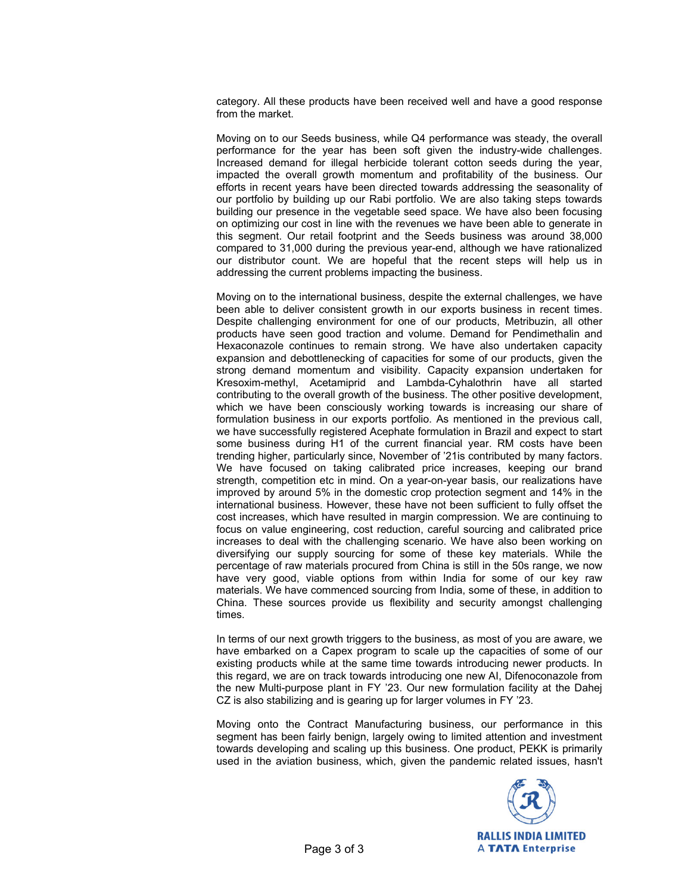category. All these products have been received well and have a good response from the market.

 Moving on to our Seeds business, while Q4 performance was steady, the overall performance for the year has been soft given the industry-wide challenges. Increased demand for illegal herbicide tolerant cotton seeds during the year, impacted the overall growth momentum and profitability of the business. Our efforts in recent years have been directed towards addressing the seasonality of our portfolio by building up our Rabi portfolio. We are also taking steps towards building our presence in the vegetable seed space. We have also been focusing on optimizing our cost in line with the revenues we have been able to generate in this segment. Our retail footprint and the Seeds business was around 38,000 compared to 31,000 during the previous year-end, although we have rationalized our distributor count. We are hopeful that the recent steps will help us in addressing the current problems impacting the business.

 Moving on to the international business, despite the external challenges, we have been able to deliver consistent growth in our exports business in recent times. Despite challenging environment for one of our products, Metribuzin, all other products have seen good traction and volume. Demand for Pendimethalin and Hexaconazole continues to remain strong. We have also undertaken capacity expansion and debottlenecking of capacities for some of our products, given the strong demand momentum and visibility. Capacity expansion undertaken for Kresoxim-methyl, Acetamiprid and Lambda-Cyhalothrin have all started contributing to the overall growth of the business. The other positive development, which we have been consciously working towards is increasing our share of formulation business in our exports portfolio. As mentioned in the previous call, we have successfully registered Acephate formulation in Brazil and expect to start some business during H1 of the current financial year. RM costs have been trending higher, particularly since, November of '21is contributed by many factors. We have focused on taking calibrated price increases, keeping our brand strength, competition etc in mind. On a year-on-year basis, our realizations have improved by around 5% in the domestic crop protection segment and 14% in the international business. However, these have not been sufficient to fully offset the cost increases, which have resulted in margin compression. We are continuing to focus on value engineering, cost reduction, careful sourcing and calibrated price increases to deal with the challenging scenario. We have also been working on diversifying our supply sourcing for some of these key materials. While the percentage of raw materials procured from China is still in the 50s range, we now have very good, viable options from within India for some of our key raw materials. We have commenced sourcing from India, some of these, in addition to China. These sources provide us flexibility and security amongst challenging times.

 In terms of our next growth triggers to the business, as most of you are aware, we have embarked on a Capex program to scale up the capacities of some of our existing products while at the same time towards introducing newer products. In this regard, we are on track towards introducing one new AI, Difenoconazole from the new Multi-purpose plant in FY '23. Our new formulation facility at the Dahej CZ is also stabilizing and is gearing up for larger volumes in FY '23.

 Moving onto the Contract Manufacturing business, our performance in this segment has been fairly benign, largely owing to limited attention and investment towards developing and scaling up this business. One product, PEKK is primarily used in the aviation business, which, given the pandemic related issues, hasn't

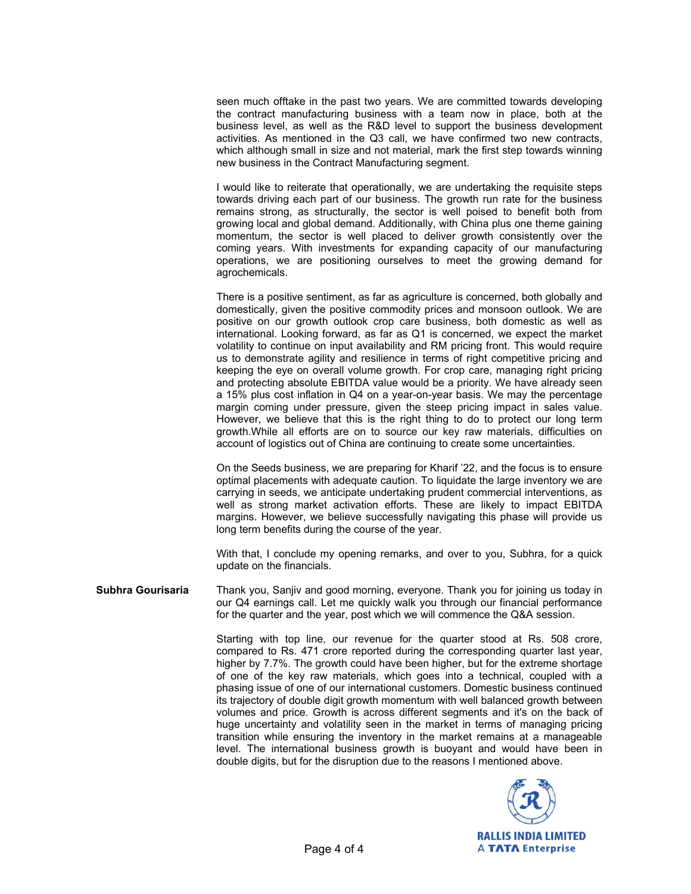seen much offtake in the past two years. We are committed towards developing the contract manufacturing business with a team now in place, both at the business level, as well as the R&D level to support the business development activities. As mentioned in the Q3 call, we have confirmed two new contracts, which although small in size and not material, mark the first step towards winning new business in the Contract Manufacturing segment.

 I would like to reiterate that operationally, we are undertaking the requisite steps towards driving each part of our business. The growth run rate for the business remains strong, as structurally, the sector is well poised to benefit both from growing local and global demand. Additionally, with China plus one theme gaining momentum, the sector is well placed to deliver growth consistently over the coming years. With investments for expanding capacity of our manufacturing operations, we are positioning ourselves to meet the growing demand for agrochemicals.

 There is a positive sentiment, as far as agriculture is concerned, both globally and domestically, given the positive commodity prices and monsoon outlook. We are positive on our growth outlook crop care business, both domestic as well as international. Looking forward, as far as Q1 is concerned, we expect the market volatility to continue on input availability and RM pricing front. This would require us to demonstrate agility and resilience in terms of right competitive pricing and keeping the eye on overall volume growth. For crop care, managing right pricing and protecting absolute EBITDA value would be a priority. We have already seen a 15% plus cost inflation in Q4 on a year-on-year basis. We may the percentage margin coming under pressure, given the steep pricing impact in sales value. However, we believe that this is the right thing to do to protect our long term growth.While all efforts are on to source our key raw materials, difficulties on account of logistics out of China are continuing to create some uncertainties.

On the Seeds business, we are preparing for Kharif '22, and the focus is to ensure optimal placements with adequate caution. To liquidate the large inventory we are carrying in seeds, we anticipate undertaking prudent commercial interventions, as well as strong market activation efforts. These are likely to impact EBITDA margins. However, we believe successfully navigating this phase will provide us long term benefits during the course of the year.

 With that, I conclude my opening remarks, and over to you, Subhra, for a quick update on the financials.

**Subhra Gourisaria** Thank you, Sanjiv and good morning, everyone. Thank you for joining us today in our Q4 earnings call. Let me quickly walk you through our financial performance for the quarter and the year, post which we will commence the Q&A session.

> Starting with top line, our revenue for the quarter stood at Rs. 508 crore, compared to Rs. 471 crore reported during the corresponding quarter last year, higher by 7.7%. The growth could have been higher, but for the extreme shortage of one of the key raw materials, which goes into a technical, coupled with a phasing issue of one of our international customers. Domestic business continued its trajectory of double digit growth momentum with well balanced growth between volumes and price. Growth is across different segments and it's on the back of huge uncertainty and volatility seen in the market in terms of managing pricing transition while ensuring the inventory in the market remains at a manageable level. The international business growth is buoyant and would have been in double digits, but for the disruption due to the reasons I mentioned above.

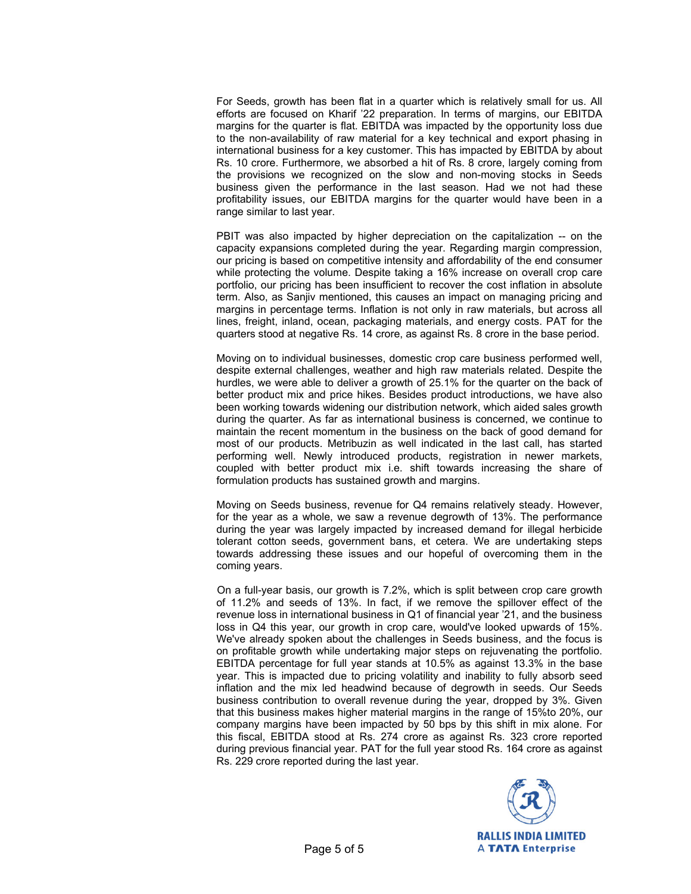For Seeds, growth has been flat in a quarter which is relatively small for us. All efforts are focused on Kharif '22 preparation. In terms of margins, our EBITDA margins for the quarter is flat. EBITDA was impacted by the opportunity loss due to the non-availability of raw material for a key technical and export phasing in international business for a key customer. This has impacted by EBITDA by about Rs. 10 crore. Furthermore, we absorbed a hit of Rs. 8 crore, largely coming from the provisions we recognized on the slow and non-moving stocks in Seeds business given the performance in the last season. Had we not had these profitability issues, our EBITDA margins for the quarter would have been in a range similar to last year.

 PBIT was also impacted by higher depreciation on the capitalization -- on the capacity expansions completed during the year. Regarding margin compression, our pricing is based on competitive intensity and affordability of the end consumer while protecting the volume. Despite taking a 16% increase on overall crop care portfolio, our pricing has been insufficient to recover the cost inflation in absolute term. Also, as Sanjiv mentioned, this causes an impact on managing pricing and margins in percentage terms. Inflation is not only in raw materials, but across all lines, freight, inland, ocean, packaging materials, and energy costs. PAT for the quarters stood at negative Rs. 14 crore, as against Rs. 8 crore in the base period.

 Moving on to individual businesses, domestic crop care business performed well, despite external challenges, weather and high raw materials related. Despite the hurdles, we were able to deliver a growth of 25.1% for the quarter on the back of better product mix and price hikes. Besides product introductions, we have also been working towards widening our distribution network, which aided sales growth during the quarter. As far as international business is concerned, we continue to maintain the recent momentum in the business on the back of good demand for most of our products. Metribuzin as well indicated in the last call, has started performing well. Newly introduced products, registration in newer markets, coupled with better product mix i.e. shift towards increasing the share of formulation products has sustained growth and margins.

 Moving on Seeds business, revenue for Q4 remains relatively steady. However, for the year as a whole, we saw a revenue degrowth of 13%. The performance during the year was largely impacted by increased demand for illegal herbicide tolerant cotton seeds, government bans, et cetera. We are undertaking steps towards addressing these issues and our hopeful of overcoming them in the coming years.

 On a full-year basis, our growth is 7.2%, which is split between crop care growth of 11.2% and seeds of 13%. In fact, if we remove the spillover effect of the revenue loss in international business in Q1 of financial year '21, and the business loss in Q4 this year, our growth in crop care, would've looked upwards of 15%. We've already spoken about the challenges in Seeds business, and the focus is on profitable growth while undertaking major steps on rejuvenating the portfolio. EBITDA percentage for full year stands at 10.5% as against 13.3% in the base year. This is impacted due to pricing volatility and inability to fully absorb seed inflation and the mix led headwind because of degrowth in seeds. Our Seeds business contribution to overall revenue during the year, dropped by 3%. Given that this business makes higher material margins in the range of 15%to 20%, our company margins have been impacted by 50 bps by this shift in mix alone. For this fiscal, EBITDA stood at Rs. 274 crore as against Rs. 323 crore reported during previous financial year. PAT for the full year stood Rs. 164 crore as against Rs. 229 crore reported during the last year.

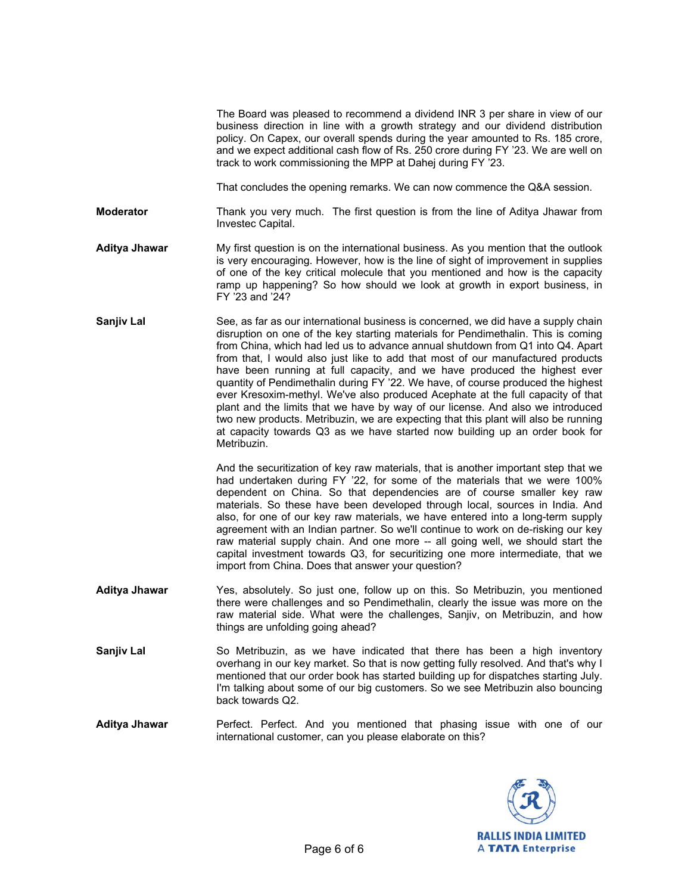The Board was pleased to recommend a dividend INR 3 per share in view of our business direction in line with a growth strategy and our dividend distribution policy. On Capex, our overall spends during the year amounted to Rs. 185 crore, and we expect additional cash flow of Rs. 250 crore during FY '23. We are well on track to work commissioning the MPP at Dahej during FY '23.

That concludes the opening remarks. We can now commence the Q&A session.

**Moderator** Thank you very much. The first question is from the line of Aditya Jhawar from Investec Capital.

- **Aditya Jhawar** My first question is on the international business. As you mention that the outlook is very encouraging. However, how is the line of sight of improvement in supplies of one of the key critical molecule that you mentioned and how is the capacity ramp up happening? So how should we look at growth in export business, in FY '23 and '24?
- **Sanjiv Lal** See, as far as our international business is concerned, we did have a supply chain disruption on one of the key starting materials for Pendimethalin. This is coming from China, which had led us to advance annual shutdown from Q1 into Q4. Apart from that, I would also just like to add that most of our manufactured products have been running at full capacity, and we have produced the highest ever quantity of Pendimethalin during FY '22. We have, of course produced the highest ever Kresoxim-methyl. We've also produced Acephate at the full capacity of that plant and the limits that we have by way of our license. And also we introduced two new products. Metribuzin, we are expecting that this plant will also be running at capacity towards Q3 as we have started now building up an order book for Metribuzin.

 And the securitization of key raw materials, that is another important step that we had undertaken during FY '22, for some of the materials that we were 100% dependent on China. So that dependencies are of course smaller key raw materials. So these have been developed through local, sources in India. And also, for one of our key raw materials, we have entered into a long-term supply agreement with an Indian partner. So we'll continue to work on de-risking our key raw material supply chain. And one more -- all going well, we should start the capital investment towards Q3, for securitizing one more intermediate, that we import from China. Does that answer your question?

- **Aditya Jhawar** Yes, absolutely. So just one, follow up on this. So Metribuzin, you mentioned there were challenges and so Pendimethalin, clearly the issue was more on the raw material side. What were the challenges, Sanjiv, on Metribuzin, and how things are unfolding going ahead?
- **Sanjiv Lal** So Metribuzin, as we have indicated that there has been a high inventory overhang in our key market. So that is now getting fully resolved. And that's why I mentioned that our order book has started building up for dispatches starting July. I'm talking about some of our big customers. So we see Metribuzin also bouncing back towards Q2.

**Aditya Jhawar** Perfect. Perfect. And you mentioned that phasing issue with one of our international customer, can you please elaborate on this?

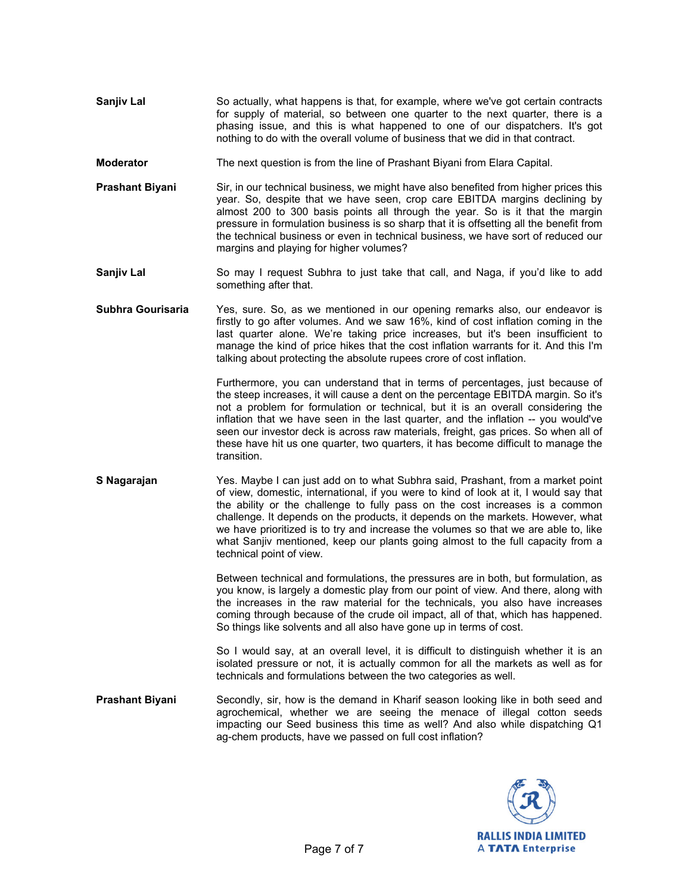- **Sanjiv Lal** So actually, what happens is that, for example, where we've got certain contracts for supply of material, so between one quarter to the next quarter, there is a phasing issue, and this is what happened to one of our dispatchers. It's got nothing to do with the overall volume of business that we did in that contract.
- **Moderator** The next question is from the line of Prashant Biyani from Elara Capital.
- **Prashant Biyani** Sir, in our technical business, we might have also benefited from higher prices this year. So, despite that we have seen, crop care EBITDA margins declining by almost 200 to 300 basis points all through the year. So is it that the margin pressure in formulation business is so sharp that it is offsetting all the benefit from the technical business or even in technical business, we have sort of reduced our margins and playing for higher volumes?
- **Sanjiv Lal So may I request Subhra to just take that call, and Naga, if you'd like to add** something after that.
- **Subhra Gourisaria** Yes, sure. So, as we mentioned in our opening remarks also, our endeavor is firstly to go after volumes. And we saw 16%, kind of cost inflation coming in the last quarter alone. We're taking price increases, but it's been insufficient to manage the kind of price hikes that the cost inflation warrants for it. And this I'm talking about protecting the absolute rupees crore of cost inflation.

 Furthermore, you can understand that in terms of percentages, just because of the steep increases, it will cause a dent on the percentage EBITDA margin. So it's not a problem for formulation or technical, but it is an overall considering the inflation that we have seen in the last quarter, and the inflation -- you would've seen our investor deck is across raw materials, freight, gas prices. So when all of these have hit us one quarter, two quarters, it has become difficult to manage the transition.

**S Nagarajan** Yes. Maybe I can just add on to what Subhra said, Prashant, from a market point of view, domestic, international, if you were to kind of look at it, I would say that the ability or the challenge to fully pass on the cost increases is a common challenge. It depends on the products, it depends on the markets. However, what we have prioritized is to try and increase the volumes so that we are able to, like what Sanjiv mentioned, keep our plants going almost to the full capacity from a technical point of view.

> Between technical and formulations, the pressures are in both, but formulation, as you know, is largely a domestic play from our point of view. And there, along with the increases in the raw material for the technicals, you also have increases coming through because of the crude oil impact, all of that, which has happened. So things like solvents and all also have gone up in terms of cost.

> So I would say, at an overall level, it is difficult to distinguish whether it is an isolated pressure or not, it is actually common for all the markets as well as for technicals and formulations between the two categories as well.

**Prashant Biyani** Secondly, sir, how is the demand in Kharif season looking like in both seed and agrochemical, whether we are seeing the menace of illegal cotton seeds impacting our Seed business this time as well? And also while dispatching Q1 ag-chem products, have we passed on full cost inflation?

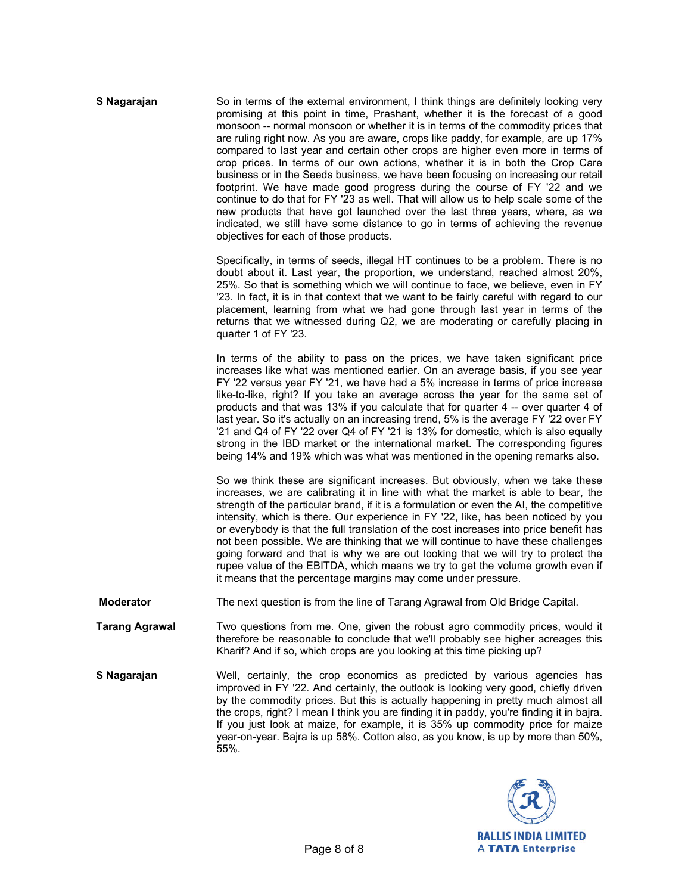| S Nagarajan           | So in terms of the external environment, I think things are definitely looking very<br>promising at this point in time, Prashant, whether it is the forecast of a good<br>monsoon -- normal monsoon or whether it is in terms of the commodity prices that<br>are ruling right now. As you are aware, crops like paddy, for example, are up 17%<br>compared to last year and certain other crops are higher even more in terms of<br>crop prices. In terms of our own actions, whether it is in both the Crop Care<br>business or in the Seeds business, we have been focusing on increasing our retail<br>footprint. We have made good progress during the course of FY '22 and we<br>continue to do that for FY '23 as well. That will allow us to help scale some of the<br>new products that have got launched over the last three years, where, as we<br>indicated, we still have some distance to go in terms of achieving the revenue<br>objectives for each of those products. |
|-----------------------|----------------------------------------------------------------------------------------------------------------------------------------------------------------------------------------------------------------------------------------------------------------------------------------------------------------------------------------------------------------------------------------------------------------------------------------------------------------------------------------------------------------------------------------------------------------------------------------------------------------------------------------------------------------------------------------------------------------------------------------------------------------------------------------------------------------------------------------------------------------------------------------------------------------------------------------------------------------------------------------|
|                       | Specifically, in terms of seeds, illegal HT continues to be a problem. There is no<br>doubt about it. Last year, the proportion, we understand, reached almost 20%,<br>25%. So that is something which we will continue to face, we believe, even in FY<br>'23. In fact, it is in that context that we want to be fairly careful with regard to our<br>placement, learning from what we had gone through last year in terms of the<br>returns that we witnessed during Q2, we are moderating or carefully placing in<br>quarter 1 of FY '23.                                                                                                                                                                                                                                                                                                                                                                                                                                           |
|                       | In terms of the ability to pass on the prices, we have taken significant price<br>increases like what was mentioned earlier. On an average basis, if you see year<br>FY '22 versus year FY '21, we have had a 5% increase in terms of price increase<br>like-to-like, right? If you take an average across the year for the same set of<br>products and that was 13% if you calculate that for quarter 4 -- over quarter 4 of<br>last year. So it's actually on an increasing trend, 5% is the average FY '22 over FY<br>'21 and Q4 of FY '22 over Q4 of FY '21 is 13% for domestic, which is also equally<br>strong in the IBD market or the international market. The corresponding figures<br>being 14% and 19% which was what was mentioned in the opening remarks also.                                                                                                                                                                                                           |
|                       | So we think these are significant increases. But obviously, when we take these<br>increases, we are calibrating it in line with what the market is able to bear, the<br>strength of the particular brand, if it is a formulation or even the AI, the competitive<br>intensity, which is there. Our experience in FY '22, like, has been noticed by you<br>or everybody is that the full translation of the cost increases into price benefit has<br>not been possible. We are thinking that we will continue to have these challenges<br>going forward and that is why we are out looking that we will try to protect the<br>rupee value of the EBITDA, which means we try to get the volume growth even if<br>it means that the percentage margins may come under pressure.                                                                                                                                                                                                           |
| <b>Moderator</b>      | The next question is from the line of Tarang Agrawal from Old Bridge Capital.                                                                                                                                                                                                                                                                                                                                                                                                                                                                                                                                                                                                                                                                                                                                                                                                                                                                                                          |
| <b>Tarang Agrawal</b> | Two questions from me. One, given the robust agro commodity prices, would it<br>therefore be reasonable to conclude that we'll probably see higher acreages this<br>Kharif? And if so, which crops are you looking at this time picking up?                                                                                                                                                                                                                                                                                                                                                                                                                                                                                                                                                                                                                                                                                                                                            |
| S Nagarajan           | Well, certainly, the crop economics as predicted by various agencies has<br>improved in FY '22. And certainly, the outlook is looking very good, chiefly driven<br>by the commodity prices. But this is actually happening in pretty much almost all<br>the crops, right? I mean I think you are finding it in paddy, you're finding it in bajra.<br>If you just look at maize, for example, it is 35% up commodity price for maize<br>year-on-year. Bajra is up 58%. Cotton also, as you know, is up by more than 50%,<br>55%.                                                                                                                                                                                                                                                                                                                                                                                                                                                        |

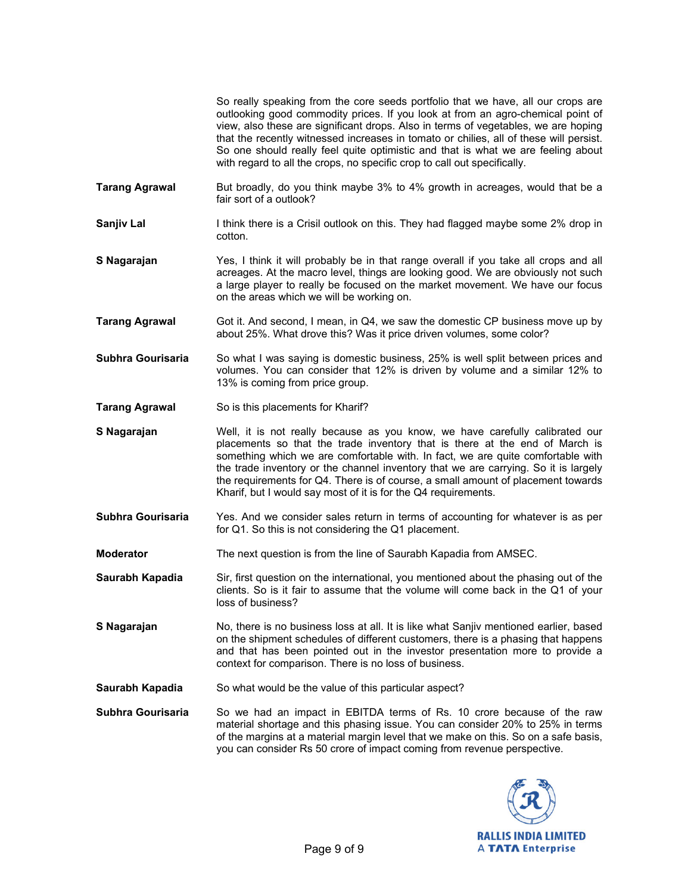So really speaking from the core seeds portfolio that we have, all our crops are outlooking good commodity prices. If you look at from an agro-chemical point of view, also these are significant drops. Also in terms of vegetables, we are hoping that the recently witnessed increases in tomato or chilies, all of these will persist. So one should really feel quite optimistic and that is what we are feeling about with regard to all the crops, no specific crop to call out specifically.

- **Tarang Agrawal** But broadly, do you think maybe 3% to 4% growth in acreages, would that be a fair sort of a outlook?
- **Sanjiv Lal** I think there is a Crisil outlook on this. They had flagged maybe some 2% drop in cotton.
- **S Nagarajan** Yes, I think it will probably be in that range overall if you take all crops and all acreages. At the macro level, things are looking good. We are obviously not such a large player to really be focused on the market movement. We have our focus on the areas which we will be working on.
- **Tarang Agrawal** Got it. And second, I mean, in Q4, we saw the domestic CP business move up by about 25%. What drove this? Was it price driven volumes, some color?
- **Subhra Gourisaria** So what I was saying is domestic business, 25% is well split between prices and volumes. You can consider that 12% is driven by volume and a similar 12% to 13% is coming from price group.
- **Tarang Agrawal** So is this placements for Kharif?
- **S Nagarajan** Well, it is not really because as you know, we have carefully calibrated our placements so that the trade inventory that is there at the end of March is something which we are comfortable with. In fact, we are quite comfortable with the trade inventory or the channel inventory that we are carrying. So it is largely the requirements for Q4. There is of course, a small amount of placement towards Kharif, but I would say most of it is for the Q4 requirements.
- **Subhra Gourisaria** Yes. And we consider sales return in terms of accounting for whatever is as per for Q1. So this is not considering the Q1 placement.
- **Moderator** The next question is from the line of Saurabh Kapadia from AMSEC.
- **Saurabh Kapadia** Sir, first question on the international, you mentioned about the phasing out of the clients. So is it fair to assume that the volume will come back in the Q1 of your loss of business?
- **S Nagarajan** No, there is no business loss at all. It is like what Sanjiv mentioned earlier, based on the shipment schedules of different customers, there is a phasing that happens and that has been pointed out in the investor presentation more to provide a context for comparison. There is no loss of business.
- **Saurabh Kapadia** So what would be the value of this particular aspect?
- **Subhra Gourisaria** So we had an impact in EBITDA terms of Rs. 10 crore because of the raw material shortage and this phasing issue. You can consider 20% to 25% in terms of the margins at a material margin level that we make on this. So on a safe basis, you can consider Rs 50 crore of impact coming from revenue perspective.

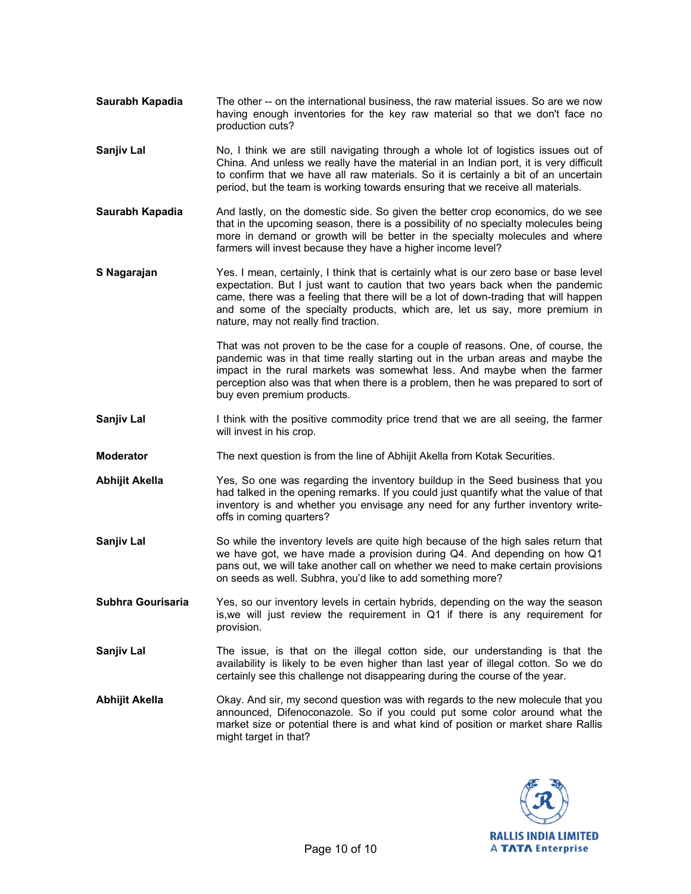- **Saurabh Kapadia** The other -- on the international business, the raw material issues. So are we now having enough inventories for the key raw material so that we don't face no production cuts?
- **Sanjiv Lal** No, I think we are still navigating through a whole lot of logistics issues out of China. And unless we really have the material in an Indian port, it is very difficult to confirm that we have all raw materials. So it is certainly a bit of an uncertain period, but the team is working towards ensuring that we receive all materials.
- **Saurabh Kapadia** And lastly, on the domestic side. So given the better crop economics, do we see that in the upcoming season, there is a possibility of no specialty molecules being more in demand or growth will be better in the specialty molecules and where farmers will invest because they have a higher income level?
- **S Nagarajan** Yes. I mean, certainly, I think that is certainly what is our zero base or base level expectation. But I just want to caution that two years back when the pandemic came, there was a feeling that there will be a lot of down-trading that will happen and some of the specialty products, which are, let us say, more premium in nature, may not really find traction.

 That was not proven to be the case for a couple of reasons. One, of course, the pandemic was in that time really starting out in the urban areas and maybe the impact in the rural markets was somewhat less. And maybe when the farmer perception also was that when there is a problem, then he was prepared to sort of buy even premium products.

- **Sanjiv Lal I** think with the positive commodity price trend that we are all seeing, the farmer will invest in his crop.
- **Moderator** The next question is from the line of Abhijit Akella from Kotak Securities.
- **Abhijit Akella** Yes, So one was regarding the inventory buildup in the Seed business that you had talked in the opening remarks. If you could just quantify what the value of that inventory is and whether you envisage any need for any further inventory writeoffs in coming quarters?
- **Sanjiv Lal** So while the inventory levels are quite high because of the high sales return that we have got, we have made a provision during Q4. And depending on how Q1 pans out, we will take another call on whether we need to make certain provisions on seeds as well. Subhra, you'd like to add something more?
- **Subhra Gourisaria** Yes, so our inventory levels in certain hybrids, depending on the way the season is,we will just review the requirement in Q1 if there is any requirement for provision.
- **Sanjiv Lal** The issue, is that on the illegal cotton side, our understanding is that the availability is likely to be even higher than last year of illegal cotton. So we do certainly see this challenge not disappearing during the course of the year.
- **Abhijit Akella** Okay. And sir, my second question was with regards to the new molecule that you announced, Difenoconazole. So if you could put some color around what the market size or potential there is and what kind of position or market share Rallis might target in that?

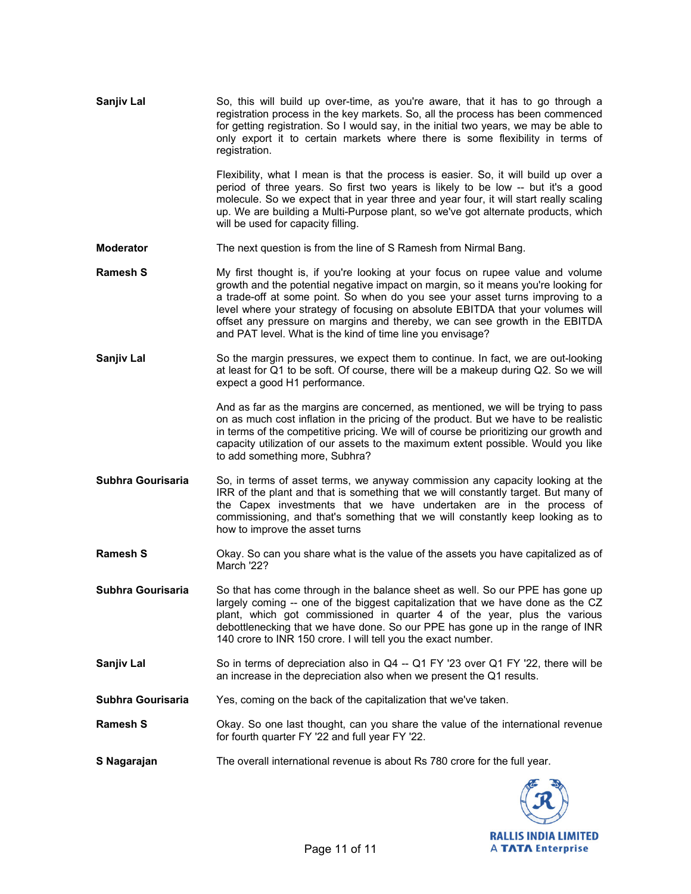| Sanjiv Lal        | So, this will build up over-time, as you're aware, that it has to go through a<br>registration process in the key markets. So, all the process has been commenced<br>for getting registration. So I would say, in the initial two years, we may be able to<br>only export it to certain markets where there is some flexibility in terms of<br>registration.                                                                                                                          |
|-------------------|---------------------------------------------------------------------------------------------------------------------------------------------------------------------------------------------------------------------------------------------------------------------------------------------------------------------------------------------------------------------------------------------------------------------------------------------------------------------------------------|
|                   | Flexibility, what I mean is that the process is easier. So, it will build up over a<br>period of three years. So first two years is likely to be low -- but it's a good<br>molecule. So we expect that in year three and year four, it will start really scaling<br>up. We are building a Multi-Purpose plant, so we've got alternate products, which<br>will be used for capacity filling.                                                                                           |
| <b>Moderator</b>  | The next question is from the line of S Ramesh from Nirmal Bang.                                                                                                                                                                                                                                                                                                                                                                                                                      |
| <b>Ramesh S</b>   | My first thought is, if you're looking at your focus on rupee value and volume<br>growth and the potential negative impact on margin, so it means you're looking for<br>a trade-off at some point. So when do you see your asset turns improving to a<br>level where your strategy of focusing on absolute EBITDA that your volumes will<br>offset any pressure on margins and thereby, we can see growth in the EBITDA<br>and PAT level. What is the kind of time line you envisage? |
| Sanjiv Lal        | So the margin pressures, we expect them to continue. In fact, we are out-looking<br>at least for Q1 to be soft. Of course, there will be a makeup during Q2. So we will<br>expect a good H1 performance.                                                                                                                                                                                                                                                                              |
|                   | And as far as the margins are concerned, as mentioned, we will be trying to pass<br>on as much cost inflation in the pricing of the product. But we have to be realistic<br>in terms of the competitive pricing. We will of course be prioritizing our growth and<br>capacity utilization of our assets to the maximum extent possible. Would you like<br>to add something more, Subhra?                                                                                              |
| Subhra Gourisaria | So, in terms of asset terms, we anyway commission any capacity looking at the<br>IRR of the plant and that is something that we will constantly target. But many of<br>the Capex investments that we have undertaken are in the process of<br>commissioning, and that's something that we will constantly keep looking as to<br>how to improve the asset turns                                                                                                                        |
| <b>Ramesh S</b>   | Okay. So can you share what is the value of the assets you have capitalized as of<br>March '22?                                                                                                                                                                                                                                                                                                                                                                                       |
| Subhra Gourisaria | So that has come through in the balance sheet as well. So our PPE has gone up<br>largely coming -- one of the biggest capitalization that we have done as the CZ<br>plant, which got commissioned in quarter 4 of the year, plus the various<br>debottlenecking that we have done. So our PPE has gone up in the range of INR<br>140 crore to INR 150 crore. I will tell you the exact number.                                                                                        |
| Sanjiv Lal        | So in terms of depreciation also in Q4 -- Q1 FY '23 over Q1 FY '22, there will be<br>an increase in the depreciation also when we present the Q1 results.                                                                                                                                                                                                                                                                                                                             |
| Subhra Gourisaria | Yes, coming on the back of the capitalization that we've taken.                                                                                                                                                                                                                                                                                                                                                                                                                       |
| <b>Ramesh S</b>   | Okay. So one last thought, can you share the value of the international revenue<br>for fourth quarter FY '22 and full year FY '22.                                                                                                                                                                                                                                                                                                                                                    |
| S Nagarajan       | The overall international revenue is about Rs 780 crore for the full year.                                                                                                                                                                                                                                                                                                                                                                                                            |
|                   |                                                                                                                                                                                                                                                                                                                                                                                                                                                                                       |

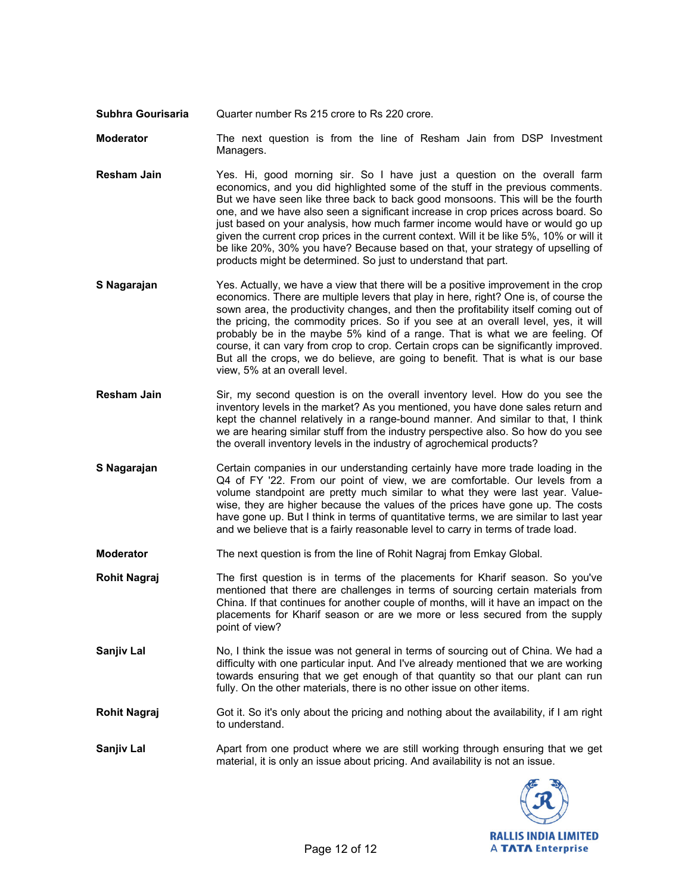**Subhra Gourisaria** Quarter number Rs 215 crore to Rs 220 crore.

**Moderator** The next question is from the line of Resham Jain from DSP Investment Managers.

- **Resham Jain** Yes. Hi, good morning sir. So I have just a question on the overall farm economics, and you did highlighted some of the stuff in the previous comments. But we have seen like three back to back good monsoons. This will be the fourth one, and we have also seen a significant increase in crop prices across board. So just based on your analysis, how much farmer income would have or would go up given the current crop prices in the current context. Will it be like 5%, 10% or will it be like 20%, 30% you have? Because based on that, your strategy of upselling of products might be determined. So just to understand that part.
- **S Nagarajan** Yes. Actually, we have a view that there will be a positive improvement in the crop economics. There are multiple levers that play in here, right? One is, of course the sown area, the productivity changes, and then the profitability itself coming out of the pricing, the commodity prices. So if you see at an overall level, yes, it will probably be in the maybe 5% kind of a range. That is what we are feeling. Of course, it can vary from crop to crop. Certain crops can be significantly improved. But all the crops, we do believe, are going to benefit. That is what is our base view, 5% at an overall level.
- **Resham Jain** Sir, my second question is on the overall inventory level. How do you see the inventory levels in the market? As you mentioned, you have done sales return and kept the channel relatively in a range-bound manner. And similar to that, I think we are hearing similar stuff from the industry perspective also. So how do you see the overall inventory levels in the industry of agrochemical products?
- **S Nagarajan Certain companies in our understanding certainly have more trade loading in the** Q4 of FY '22. From our point of view, we are comfortable. Our levels from a volume standpoint are pretty much similar to what they were last year. Valuewise, they are higher because the values of the prices have gone up. The costs have gone up. But I think in terms of quantitative terms, we are similar to last year and we believe that is a fairly reasonable level to carry in terms of trade load.
- **Moderator** The next question is from the line of Rohit Nagraj from Emkay Global.
- **Rohit Nagraj** The first question is in terms of the placements for Kharif season. So you've mentioned that there are challenges in terms of sourcing certain materials from China. If that continues for another couple of months, will it have an impact on the placements for Kharif season or are we more or less secured from the supply point of view?
- **Sanjiv Lal** No, I think the issue was not general in terms of sourcing out of China. We had a difficulty with one particular input. And I've already mentioned that we are working towards ensuring that we get enough of that quantity so that our plant can run fully. On the other materials, there is no other issue on other items.
- **Rohit Nagraj** Got it. So it's only about the pricing and nothing about the availability, if I am right to understand.
- **Sanjiv Lal** Apart from one product where we are still working through ensuring that we get material, it is only an issue about pricing. And availability is not an issue.

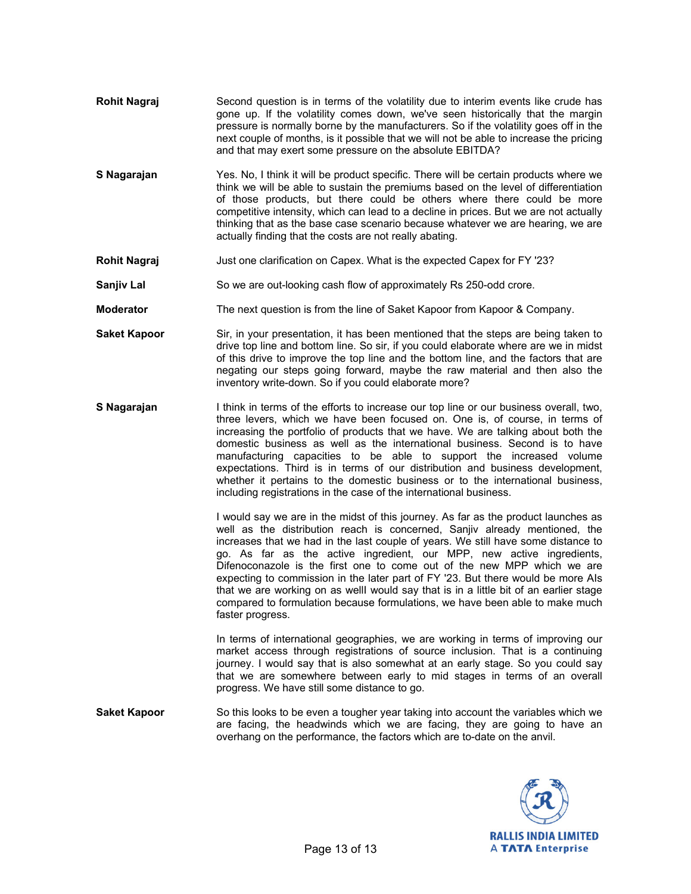- **Rohit Nagraj** Second question is in terms of the volatility due to interim events like crude has gone up. If the volatility comes down, we've seen historically that the margin pressure is normally borne by the manufacturers. So if the volatility goes off in the next couple of months, is it possible that we will not be able to increase the pricing and that may exert some pressure on the absolute EBITDA?
- **S Nagarajan** Yes. No, I think it will be product specific. There will be certain products where we think we will be able to sustain the premiums based on the level of differentiation of those products, but there could be others where there could be more competitive intensity, which can lead to a decline in prices. But we are not actually thinking that as the base case scenario because whatever we are hearing, we are actually finding that the costs are not really abating.
- **Rohit Nagraj** Just one clarification on Capex. What is the expected Capex for FY '23?
- **Sanjiv Lal** So we are out-looking cash flow of approximately Rs 250-odd crore.
- **Moderator** The next question is from the line of Saket Kapoor from Kapoor & Company.
- **Saket Kapoor** Sir, in your presentation, it has been mentioned that the steps are being taken to drive top line and bottom line. So sir, if you could elaborate where are we in midst of this drive to improve the top line and the bottom line, and the factors that are negating our steps going forward, maybe the raw material and then also the inventory write-down. So if you could elaborate more?
- **S Nagarajan** I think in terms of the efforts to increase our top line or our business overall, two, three levers, which we have been focused on. One is, of course, in terms of increasing the portfolio of products that we have. We are talking about both the domestic business as well as the international business. Second is to have manufacturing capacities to be able to support the increased volume expectations. Third is in terms of our distribution and business development, whether it pertains to the domestic business or to the international business, including registrations in the case of the international business.

 I would say we are in the midst of this journey. As far as the product launches as well as the distribution reach is concerned, Sanjiv already mentioned, the increases that we had in the last couple of years. We still have some distance to go. As far as the active ingredient, our MPP, new active ingredients, Difenoconazole is the first one to come out of the new MPP which we are expecting to commission in the later part of FY '23. But there would be more AIs that we are working on as wellI would say that is in a little bit of an earlier stage compared to formulation because formulations, we have been able to make much faster progress.

 In terms of international geographies, we are working in terms of improving our market access through registrations of source inclusion. That is a continuing journey. I would say that is also somewhat at an early stage. So you could say that we are somewhere between early to mid stages in terms of an overall progress. We have still some distance to go.

**Saket Kapoor** So this looks to be even a tougher year taking into account the variables which we are facing, the headwinds which we are facing, they are going to have an overhang on the performance, the factors which are to-date on the anvil.

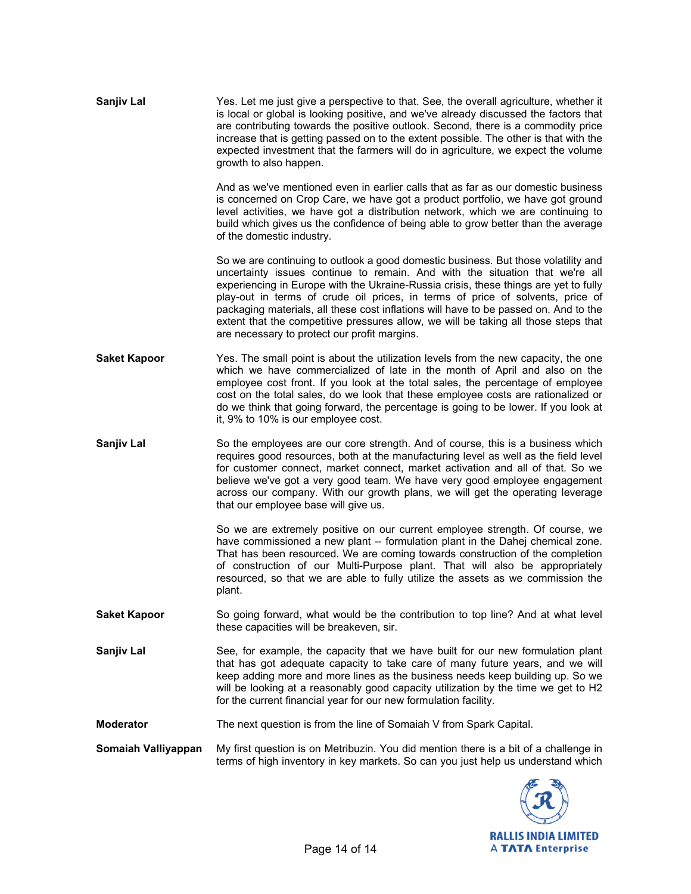| <b>Sanjiv Lal</b>   | Yes. Let me just give a perspective to that. See, the overall agriculture, whether it<br>is local or global is looking positive, and we've already discussed the factors that<br>are contributing towards the positive outlook. Second, there is a commodity price<br>increase that is getting passed on to the extent possible. The other is that with the<br>expected investment that the farmers will do in agriculture, we expect the volume<br>growth to also happen.                                                                                                  |
|---------------------|-----------------------------------------------------------------------------------------------------------------------------------------------------------------------------------------------------------------------------------------------------------------------------------------------------------------------------------------------------------------------------------------------------------------------------------------------------------------------------------------------------------------------------------------------------------------------------|
|                     | And as we've mentioned even in earlier calls that as far as our domestic business<br>is concerned on Crop Care, we have got a product portfolio, we have got ground<br>level activities, we have got a distribution network, which we are continuing to<br>build which gives us the confidence of being able to grow better than the average<br>of the domestic industry.                                                                                                                                                                                                   |
|                     | So we are continuing to outlook a good domestic business. But those volatility and<br>uncertainty issues continue to remain. And with the situation that we're all<br>experiencing in Europe with the Ukraine-Russia crisis, these things are yet to fully<br>play-out in terms of crude oil prices, in terms of price of solvents, price of<br>packaging materials, all these cost inflations will have to be passed on. And to the<br>extent that the competitive pressures allow, we will be taking all those steps that<br>are necessary to protect our profit margins. |
| <b>Saket Kapoor</b> | Yes. The small point is about the utilization levels from the new capacity, the one<br>which we have commercialized of late in the month of April and also on the<br>employee cost front. If you look at the total sales, the percentage of employee<br>cost on the total sales, do we look that these employee costs are rationalized or<br>do we think that going forward, the percentage is going to be lower. If you look at<br>it, 9% to 10% is our employee cost.                                                                                                     |
| Sanjiv Lal          | So the employees are our core strength. And of course, this is a business which<br>requires good resources, both at the manufacturing level as well as the field level<br>for customer connect, market connect, market activation and all of that. So we<br>believe we've got a very good team. We have very good employee engagement<br>across our company. With our growth plans, we will get the operating leverage<br>that our employee base will give us.                                                                                                              |
|                     | So we are extremely positive on our current employee strength. Of course, we<br>have commissioned a new plant -- formulation plant in the Dahej chemical zone.<br>That has been resourced. We are coming towards construction of the completion<br>of construction of our Multi-Purpose plant. That will also be appropriately<br>resourced, so that we are able to fully utilize the assets as we commission the<br>plant.                                                                                                                                                 |
| <b>Saket Kapoor</b> | So going forward, what would be the contribution to top line? And at what level<br>these capacities will be breakeven, sir.                                                                                                                                                                                                                                                                                                                                                                                                                                                 |
| Sanjiv Lal          | See, for example, the capacity that we have built for our new formulation plant<br>that has got adequate capacity to take care of many future years, and we will<br>keep adding more and more lines as the business needs keep building up. So we<br>will be looking at a reasonably good capacity utilization by the time we get to H2<br>for the current financial year for our new formulation facility.                                                                                                                                                                 |
| <b>Moderator</b>    | The next question is from the line of Somaiah V from Spark Capital.                                                                                                                                                                                                                                                                                                                                                                                                                                                                                                         |
| Somaiah Valliyappan | My first question is on Metribuzin. You did mention there is a bit of a challenge in<br>terms of high inventory in key markets. So can you just help us understand which                                                                                                                                                                                                                                                                                                                                                                                                    |

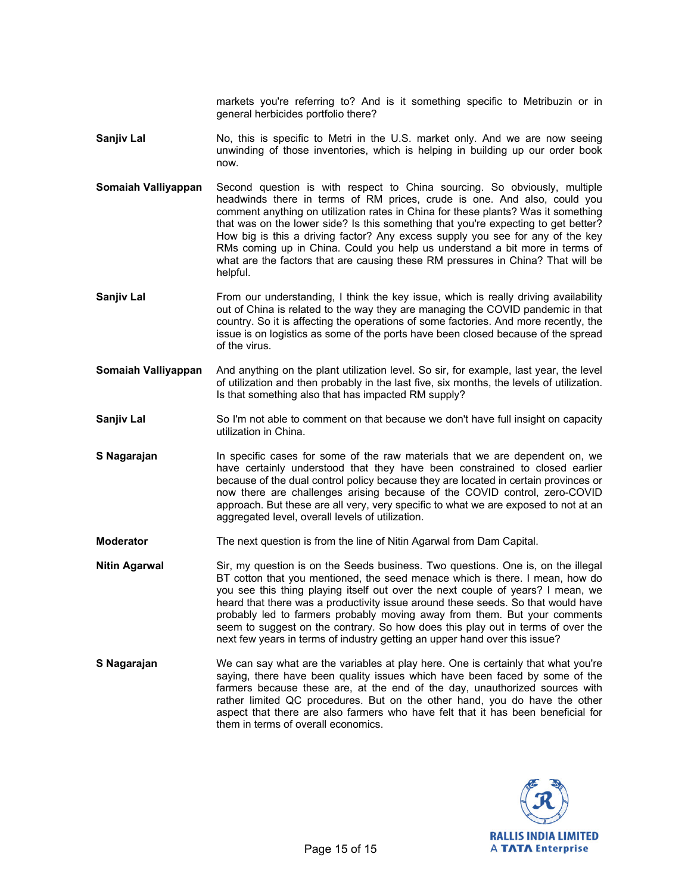markets you're referring to? And is it something specific to Metribuzin or in general herbicides portfolio there?

- **Sanjiv Lal** No, this is specific to Metri in the U.S. market only. And we are now seeing unwinding of those inventories, which is helping in building up our order book now.
- **Somaiah Valliyappan** Second question is with respect to China sourcing. So obviously, multiple headwinds there in terms of RM prices, crude is one. And also, could you comment anything on utilization rates in China for these plants? Was it something that was on the lower side? Is this something that you're expecting to get better? How big is this a driving factor? Any excess supply you see for any of the key RMs coming up in China. Could you help us understand a bit more in terms of what are the factors that are causing these RM pressures in China? That will be helpful.
- **Sanjiv Lal Example 1** From our understanding, I think the key issue, which is really driving availability out of China is related to the way they are managing the COVID pandemic in that country. So it is affecting the operations of some factories. And more recently, the issue is on logistics as some of the ports have been closed because of the spread of the virus.
- **Somaiah Valliyappan** And anything on the plant utilization level. So sir, for example, last year, the level of utilization and then probably in the last five, six months, the levels of utilization. Is that something also that has impacted RM supply?
- **Sanjiv Lal** So I'm not able to comment on that because we don't have full insight on capacity utilization in China.
- **S Nagarajan** In specific cases for some of the raw materials that we are dependent on, we have certainly understood that they have been constrained to closed earlier because of the dual control policy because they are located in certain provinces or now there are challenges arising because of the COVID control, zero-COVID approach. But these are all very, very specific to what we are exposed to not at an aggregated level, overall levels of utilization.
- **Moderator** The next question is from the line of Nitin Agarwal from Dam Capital.
- **Nitin Agarwal** Sir, my question is on the Seeds business. Two questions. One is, on the illegal BT cotton that you mentioned, the seed menace which is there. I mean, how do you see this thing playing itself out over the next couple of years? I mean, we heard that there was a productivity issue around these seeds. So that would have probably led to farmers probably moving away from them. But your comments seem to suggest on the contrary. So how does this play out in terms of over the next few years in terms of industry getting an upper hand over this issue?
- **S Nagarajan** We can say what are the variables at play here. One is certainly that what you're saying, there have been quality issues which have been faced by some of the farmers because these are, at the end of the day, unauthorized sources with rather limited QC procedures. But on the other hand, you do have the other aspect that there are also farmers who have felt that it has been beneficial for them in terms of overall economics.

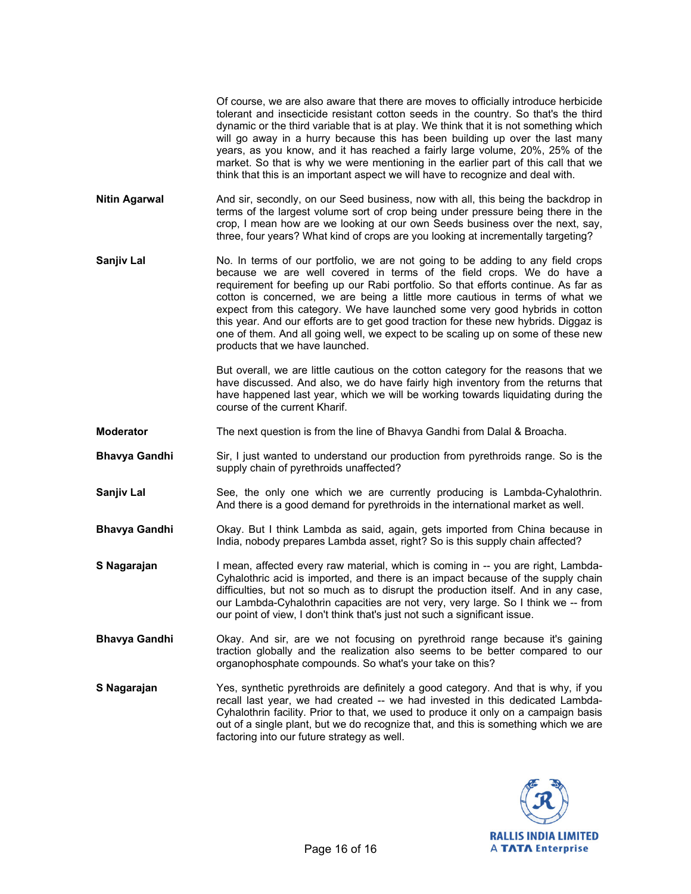Of course, we are also aware that there are moves to officially introduce herbicide tolerant and insecticide resistant cotton seeds in the country. So that's the third dynamic or the third variable that is at play. We think that it is not something which will go away in a hurry because this has been building up over the last many years, as you know, and it has reached a fairly large volume, 20%, 25% of the market. So that is why we were mentioning in the earlier part of this call that we think that this is an important aspect we will have to recognize and deal with.

- **Nitin Agarwal** And sir, secondly, on our Seed business, now with all, this being the backdrop in terms of the largest volume sort of crop being under pressure being there in the crop, I mean how are we looking at our own Seeds business over the next, say, three, four years? What kind of crops are you looking at incrementally targeting?
- **Sanjiv Lal** No. In terms of our portfolio, we are not going to be adding to any field crops because we are well covered in terms of the field crops. We do have a requirement for beefing up our Rabi portfolio. So that efforts continue. As far as cotton is concerned, we are being a little more cautious in terms of what we expect from this category. We have launched some very good hybrids in cotton this year. And our efforts are to get good traction for these new hybrids. Diggaz is one of them. And all going well, we expect to be scaling up on some of these new products that we have launched.

 But overall, we are little cautious on the cotton category for the reasons that we have discussed. And also, we do have fairly high inventory from the returns that have happened last year, which we will be working towards liquidating during the course of the current Kharif.

- **Moderator** The next question is from the line of Bhavya Gandhi from Dalal & Broacha.
- **Bhavya Gandhi** Sir, I just wanted to understand our production from pyrethroids range. So is the supply chain of pyrethroids unaffected?
- **Sanjiv Lal** See, the only one which we are currently producing is Lambda-Cyhalothrin. And there is a good demand for pyrethroids in the international market as well.
- **Bhavya Gandhi** Okay. But I think Lambda as said, again, gets imported from China because in India, nobody prepares Lambda asset, right? So is this supply chain affected?
- **S Nagarajan** I mean, affected every raw material, which is coming in -- you are right, Lambda-Cyhalothric acid is imported, and there is an impact because of the supply chain difficulties, but not so much as to disrupt the production itself. And in any case, our Lambda-Cyhalothrin capacities are not very, very large. So I think we -- from our point of view, I don't think that's just not such a significant issue.
- **Bhavya Gandhi** Okay. And sir, are we not focusing on pyrethroid range because it's gaining traction globally and the realization also seems to be better compared to our organophosphate compounds. So what's your take on this?
- **S Nagarajan** Yes, synthetic pyrethroids are definitely a good category. And that is why, if you recall last year, we had created -- we had invested in this dedicated Lambda-Cyhalothrin facility. Prior to that, we used to produce it only on a campaign basis out of a single plant, but we do recognize that, and this is something which we are factoring into our future strategy as well.

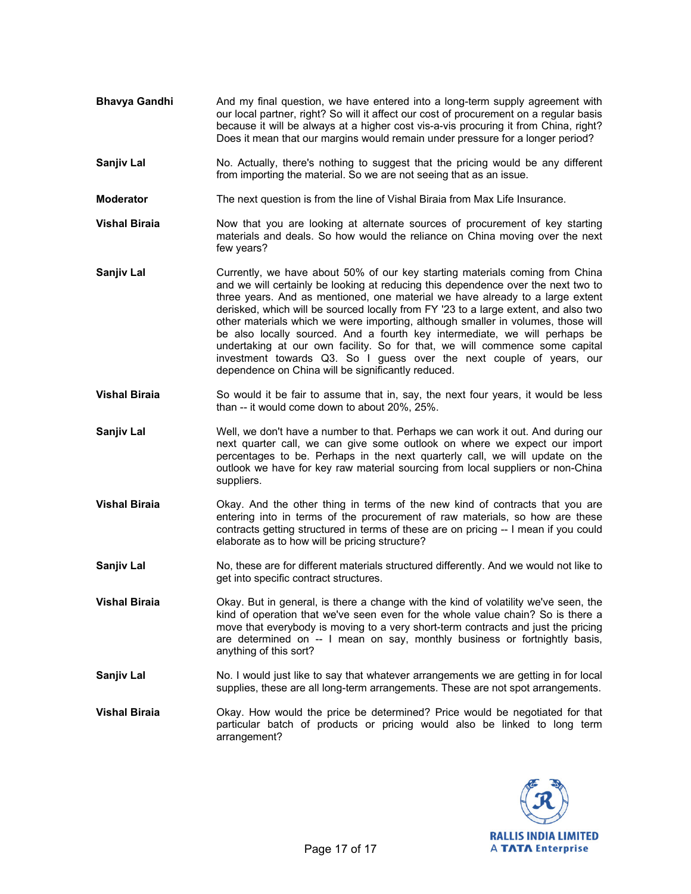- **Bhavya Gandhi** And my final question, we have entered into a long-term supply agreement with our local partner, right? So will it affect our cost of procurement on a regular basis because it will be always at a higher cost vis-a-vis procuring it from China, right? Does it mean that our margins would remain under pressure for a longer period?
- **Sanjiv Lal** No. Actually, there's nothing to suggest that the pricing would be any different from importing the material. So we are not seeing that as an issue.
- **Moderator** The next question is from the line of Vishal Biraia from Max Life Insurance.
- **Vishal Biraia** Now that you are looking at alternate sources of procurement of key starting materials and deals. So how would the reliance on China moving over the next few years?
- **Sanjiv Lal** Currently, we have about 50% of our key starting materials coming from China and we will certainly be looking at reducing this dependence over the next two to three years. And as mentioned, one material we have already to a large extent derisked, which will be sourced locally from FY '23 to a large extent, and also two other materials which we were importing, although smaller in volumes, those will be also locally sourced. And a fourth key intermediate, we will perhaps be undertaking at our own facility. So for that, we will commence some capital investment towards Q3. So I guess over the next couple of years, our dependence on China will be significantly reduced.
- **Vishal Biraia** So would it be fair to assume that in, say, the next four years, it would be less than -- it would come down to about 20%, 25%.
- **Sanjiv Lal** Well, we don't have a number to that. Perhaps we can work it out. And during our next quarter call, we can give some outlook on where we expect our import percentages to be. Perhaps in the next quarterly call, we will update on the outlook we have for key raw material sourcing from local suppliers or non-China suppliers.
- **Vishal Biraia Okay.** And the other thing in terms of the new kind of contracts that you are entering into in terms of the procurement of raw materials, so how are these contracts getting structured in terms of these are on pricing -- I mean if you could elaborate as to how will be pricing structure?
- **Sanjiv Lal** No, these are for different materials structured differently. And we would not like to get into specific contract structures.
- **Vishal Biraia** Okay. But in general, is there a change with the kind of volatility we've seen, the kind of operation that we've seen even for the whole value chain? So is there a move that everybody is moving to a very short-term contracts and just the pricing are determined on -- I mean on say, monthly business or fortnightly basis, anything of this sort?
- **Sanjiv Lal** No. I would just like to say that whatever arrangements we are getting in for local supplies, these are all long-term arrangements. These are not spot arrangements.
- **Vishal Biraia** Okay. How would the price be determined? Price would be negotiated for that particular batch of products or pricing would also be linked to long term arrangement?